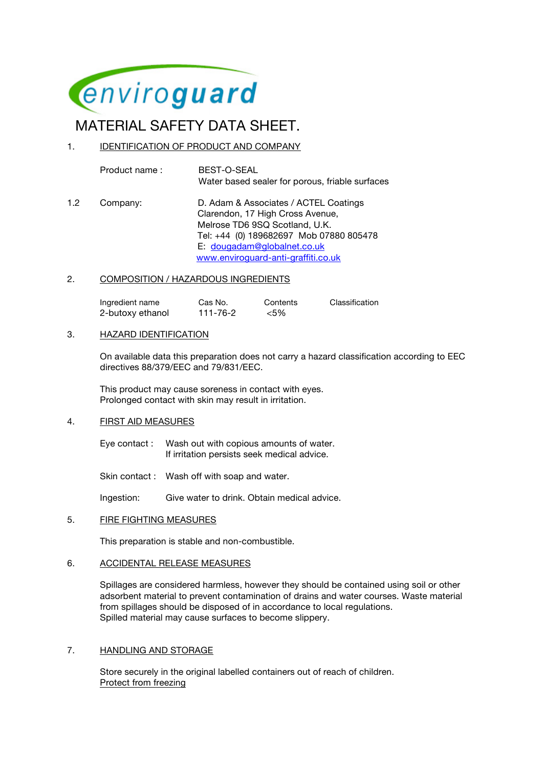

# MATERIAL SAFETY DATA SHEET.

# 1. IDENTIFICATION OF PRODUCT AND COMPANY

Product name : BEST-O-SEAL Water based sealer for porous, friable surfaces

1.2 Company: D. Adam & Associates / ACTEL Coatings Clarendon, 17 High Cross Avenue, Melrose TD6 9SQ Scotland, U.K. Tel: +44 (0) 189682697 Mob 07880 805478 E: dougadam@globalnet.co.uk www.enviroguard-anti-graffiti.co.uk

## 2. COMPOSITION / HAZARDOUS INGREDIENTS

Ingredient name Cas No. Contents Classification 2-butoxy ethanol 111-76-2 <5%

## 3. HAZARD IDENTIFICATION

On available data this preparation does not carry a hazard classification according to EEC directives 88/379/EEC and 79/831/EEC.

This product may cause soreness in contact with eyes. Prolonged contact with skin may result in irritation.

## 4. FIRST AID MEASURES

Eye contact : Wash out with copious amounts of water. If irritation persists seek medical advice.

Skin contact : Wash off with soap and water.

Ingestion: Give water to drink. Obtain medical advice.

#### 5. FIRE FIGHTING MEASURES

This preparation is stable and non-combustible.

## 6. ACCIDENTAL RELEASE MEASURES

Spillages are considered harmless, however they should be contained using soil or other adsorbent material to prevent contamination of drains and water courses. Waste material from spillages should be disposed of in accordance to local regulations. Spilled material may cause surfaces to become slippery.

## 7. HANDLING AND STORAGE

Store securely in the original labelled containers out of reach of children. Protect from freezing